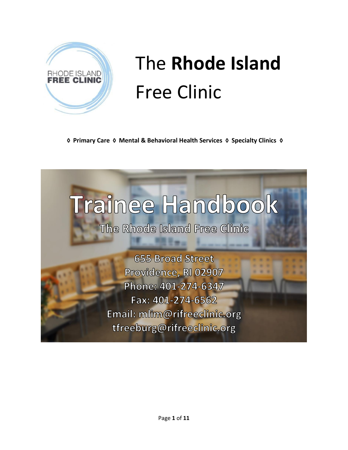

## The **Rhode Island** Free Clinic

**◊ Primary Care ◊ Mental & Behavioral Health Services ◊ Specialty Clinics ◊**

# Trainee Handbook

The Rhode Island Free Clinic

**655 Broad Street** Providence, RI 02907 Phone: 401-274-6347 Fax: 401-274-6562 Email: mlim@rifreeclinic.org tfreeburg@rifreeclinic.org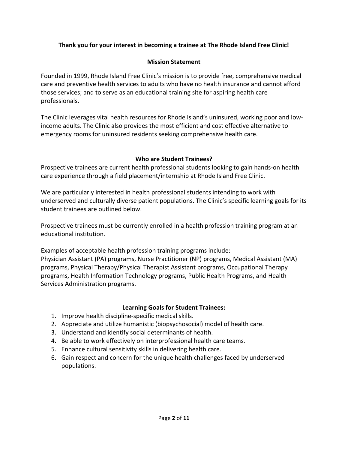## **Thank you for your interest in becoming a trainee at The Rhode Island Free Clinic!**

## **Mission Statement**

Founded in 1999, Rhode Island Free Clinic's mission is to provide free, comprehensive medical care and preventive health services to adults who have no health insurance and cannot afford those services; and to serve as an educational training site for aspiring health care professionals.

The Clinic leverages vital health resources for Rhode Island's uninsured, working poor and lowincome adults. The Clinic also provides the most efficient and cost effective alternative to emergency rooms for uninsured residents seeking comprehensive health care.

## **Who are Student Trainees?**

Prospective trainees are current health professional students looking to gain hands-on health care experience through a field placement/internship at Rhode Island Free Clinic.

We are particularly interested in health professional students intending to work with underserved and culturally diverse patient populations. The Clinic's specific learning goals for its student trainees are outlined below.

Prospective trainees must be currently enrolled in a health profession training program at an educational institution.

Examples of acceptable health profession training programs include: Physician Assistant (PA) programs, Nurse Practitioner (NP) programs, Medical Assistant (MA) programs, Physical Therapy/Physical Therapist Assistant programs, Occupational Therapy programs, Health Information Technology programs, Public Health Programs, and Health Services Administration programs.

#### **Learning Goals for Student Trainees:**

- 1. Improve health discipline-specific medical skills.
- 2. Appreciate and utilize humanistic (biopsychosocial) model of health care.
- 3. Understand and identify social determinants of health.
- 4. Be able to work effectively on interprofessional health care teams.
- 5. Enhance cultural sensitivity skills in delivering health care.
- 6. Gain respect and concern for the unique health challenges faced by underserved populations.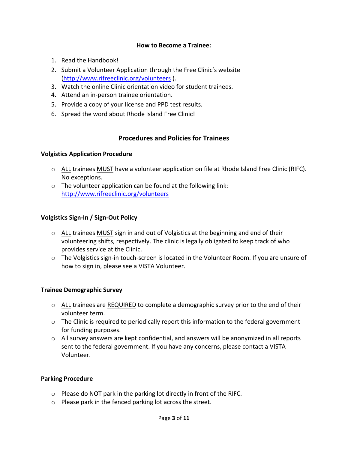## **How to Become a Trainee:**

- 1. Read the Handbook!
- 2. Submit a Volunteer Application through the Free Clinic's website [\(http://www.rifreeclinic.org/volunteers](http://www.rifreeclinic.org/volunteers) ).
- 3. Watch the online Clinic orientation video for student trainees.
- 4. Attend an in-person trainee orientation.
- 5. Provide a copy of your license and PPD test results.
- 6. Spread the word about Rhode Island Free Clinic!

## **Procedures and Policies for Trainees**

#### **Volgistics Application Procedure**

- o ALL trainees MUST have a volunteer application on file at Rhode Island Free Clinic (RIFC). No exceptions.
- $\circ$  The volunteer application can be found at the following link: <http://www.rifreeclinic.org/volunteers>

#### **Volgistics Sign-In / Sign-Out Policy**

- $\circ$  ALL trainees MUST sign in and out of Volgistics at the beginning and end of their volunteering shifts, respectively. The clinic is legally obligated to keep track of who provides service at the Clinic.
- o The Volgistics sign-in touch-screen is located in the Volunteer Room. If you are unsure of how to sign in, please see a VISTA Volunteer.

#### **Trainee Demographic Survey**

- $\circ$  ALL trainees are REQUIRED to complete a demographic survey prior to the end of their volunteer term.
- o The Clinic is required to periodically report this information to the federal government for funding purposes.
- $\circ$  All survey answers are kept confidential, and answers will be anonymized in all reports sent to the federal government. If you have any concerns, please contact a VISTA Volunteer.

#### **Parking Procedure**

- o Please do NOT park in the parking lot directly in front of the RIFC.
- o Please park in the fenced parking lot across the street.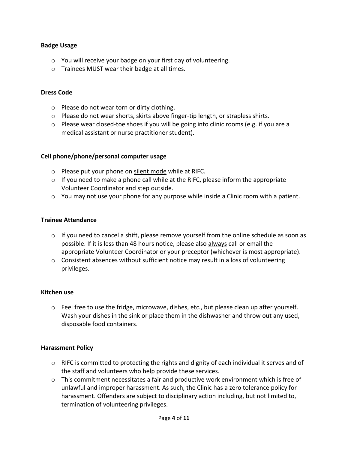#### **Badge Usage**

- o You will receive your badge on your first day of volunteering.
- o Trainees MUST wear their badge at all times.

#### **Dress Code**

- o Please do not wear torn or dirty clothing.
- $\circ$  Please do not wear shorts, skirts above finger-tip length, or strapless shirts.
- o Please wear closed-toe shoes if you will be going into clinic rooms (e.g. if you are a medical assistant or nurse practitioner student).

#### **Cell phone/phone/personal computer usage**

- o Please put your phone on silent mode while at RIFC.
- o If you need to make a phone call while at the RIFC, please inform the appropriate Volunteer Coordinator and step outside.
- o You may not use your phone for any purpose while inside a Clinic room with a patient.

#### **Trainee Attendance**

- $\circ$  If you need to cancel a shift, please remove yourself from the online schedule as soon as possible. If it is less than 48 hours notice, please also always call or email the appropriate Volunteer Coordinator or your preceptor (whichever is most appropriate).
- $\circ$  Consistent absences without sufficient notice may result in a loss of volunteering privileges.

#### **Kitchen use**

 $\circ$  Feel free to use the fridge, microwave, dishes, etc., but please clean up after yourself. Wash your dishes in the sink or place them in the dishwasher and throw out any used, disposable food containers.

#### **Harassment Policy**

- $\circ$  RIFC is committed to protecting the rights and dignity of each individual it serves and of the staff and volunteers who help provide these services.
- $\circ$  This commitment necessitates a fair and productive work environment which is free of unlawful and improper harassment. As such, the Clinic has a zero tolerance policy for harassment. Offenders are subject to disciplinary action including, but not limited to, termination of volunteering privileges.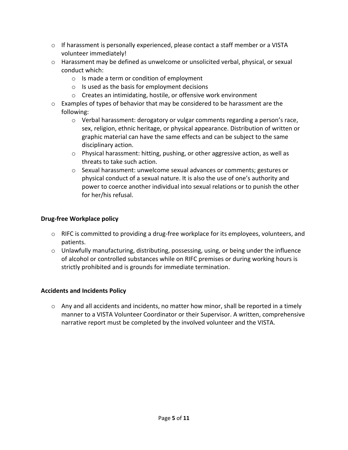- $\circ$  If harassment is personally experienced, please contact a staff member or a VISTA volunteer immediately!
- $\circ$  Harassment may be defined as unwelcome or unsolicited verbal, physical, or sexual conduct which:
	- o Is made a term or condition of employment
	- $\circ$  Is used as the basis for employment decisions
	- o Creates an intimidating, hostile, or offensive work environment
- $\circ$  Examples of types of behavior that may be considered to be harassment are the following:
	- o Verbal harassment: derogatory or vulgar comments regarding a person's race, sex, religion, ethnic heritage, or physical appearance. Distribution of written or graphic material can have the same effects and can be subject to the same disciplinary action.
	- o Physical harassment: hitting, pushing, or other aggressive action, as well as threats to take such action.
	- $\circ$  Sexual harassment: unwelcome sexual advances or comments; gestures or physical conduct of a sexual nature. It is also the use of one's authority and power to coerce another individual into sexual relations or to punish the other for her/his refusal.

## **Drug-free Workplace policy**

- o RIFC is committed to providing a drug-free workplace for its employees, volunteers, and patients.
- $\circ$  Unlawfully manufacturing, distributing, possessing, using, or being under the influence of alcohol or controlled substances while on RIFC premises or during working hours is strictly prohibited and is grounds for immediate termination.

## **Accidents and Incidents Policy**

 $\circ$  Any and all accidents and incidents, no matter how minor, shall be reported in a timely manner to a VISTA Volunteer Coordinator or their Supervisor. A written, comprehensive narrative report must be completed by the involved volunteer and the VISTA.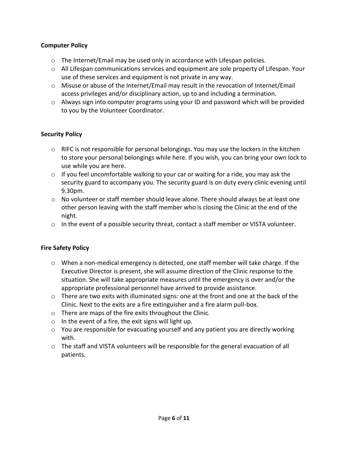## **Computer Policy**

- $\circ$  The Internet/Email may be used only in accordance with Lifespan policies.
- $\circ$  All Lifespan communications services and equipment are sole property of Lifespan. Your use of these services and equipment is not private in any way.
- $\circ$  Misuse or abuse of the Internet/Email may result in the revocation of Internet/Email access privileges and/or disciplinary action, up to and including a termination.
- o Always sign into computer programs using your ID and password which will be provided to you by the Volunteer Coordinator.

## **Security Policy**

- $\circ$  RIFC is not responsible for personal belongings. You may use the lockers in the kitchen to store your personal belongings while here. If you wish, you can bring your own lock to use while you are here.
- $\circ$  If you feel uncomfortable walking to your car or waiting for a ride, you may ask the security guard to accompany you. The security guard is on duty every clinic evening until 9.30pm.
- $\circ$  No volunteer or staff member should leave alone. There should always be at least one other person leaving with the staff member who is closing the Clinic at the end of the night.
- $\circ$  In the event of a possible security threat, contact a staff member or VISTA volunteer.

#### **Fire Safety Policy**

- $\circ$  When a non-medical emergency is detected, one staff member will take charge. If the Executive Director is present, she will assume direction of the Clinic response to the situation. She will take appropriate measures until the emergency is over and/or the appropriate professional personnel have arrived to provide assistance.
- $\circ$  There are two exits with illuminated signs: one at the front and one at the back of the Clinic. Next to the exits are a fire extinguisher and a fire alarm pull-box.
- o There are maps of the fire exits throughout the Clinic.
- $\circ$  In the event of a fire, the exit signs will light up.
- o You are responsible for evacuating yourself and any patient you are directly working with.
- o The staff and VISTA volunteers will be responsible for the general evacuation of all patients.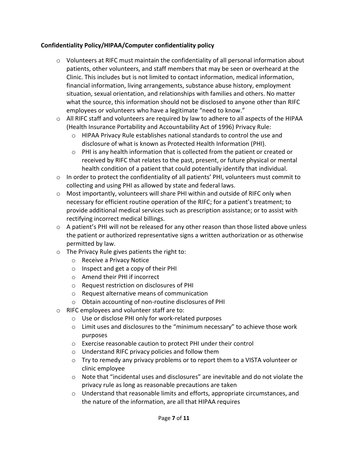## **Confidentiality Policy/HIPAA/Computer confidentiality policy**

- $\circ$  Volunteers at RIFC must maintain the confidentiality of all personal information about patients, other volunteers, and staff members that may be seen or overheard at the Clinic. This includes but is not limited to contact information, medical information, financial information, living arrangements, substance abuse history, employment situation, sexual orientation, and relationships with families and others. No matter what the source, this information should not be disclosed to anyone other than RIFC employees or volunteers who have a legitimate "need to know."
- o All RIFC staff and volunteers are required by law to adhere to all aspects of the HIPAA (Health Insurance Portability and Accountability Act of 1996) Privacy Rule:
	- o HIPAA Privacy Rule establishes national standards to control the use and disclosure of what is known as Protected Health Information (PHI).
	- $\circ$  PHI is any health information that is collected from the patient or created or received by RIFC that relates to the past, present, or future physical or mental health condition of a patient that could potentially identify that individual.
- $\circ$  In order to protect the confidentiality of all patients' PHI, volunteers must commit to collecting and using PHI as allowed by state and federal laws.
- o Most importantly, volunteers will share PHI within and outside of RIFC only when necessary for efficient routine operation of the RIFC; for a patient's treatment; to provide additional medical services such as prescription assistance; or to assist with rectifying incorrect medical billings.
- $\circ$  A patient's PHI will not be released for any other reason than those listed above unless the patient or authorized representative signs a written authorization or as otherwise permitted by law.
- o The Privacy Rule gives patients the right to:
	- o Receive a Privacy Notice
	- o Inspect and get a copy of their PHI
	- o Amend their PHI if incorrect
	- o Request restriction on disclosures of PHI
	- o Request alternative means of communication
	- o Obtain accounting of non-routine disclosures of PHI
- o RIFC employees and volunteer staff are to:
	- o Use or disclose PHI only for work-related purposes
	- o Limit uses and disclosures to the "minimum necessary" to achieve those work purposes
	- o Exercise reasonable caution to protect PHI under their control
	- o Understand RIFC privacy policies and follow them
	- o Try to remedy any privacy problems or to report them to a VISTA volunteer or clinic employee
	- o Note that "incidental uses and disclosures" are inevitable and do not violate the privacy rule as long as reasonable precautions are taken
	- o Understand that reasonable limits and efforts, appropriate circumstances, and the nature of the information, are all that HIPAA requires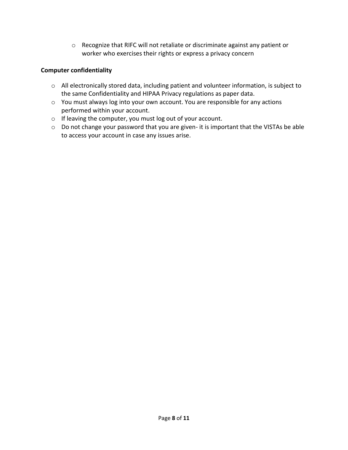o Recognize that RIFC will not retaliate or discriminate against any patient or worker who exercises their rights or express a privacy concern

## **Computer confidentiality**

- o All electronically stored data, including patient and volunteer information, is subject to the same Confidentiality and HIPAA Privacy regulations as paper data.
- o You must always log into your own account. You are responsible for any actions performed within your account.
- o If leaving the computer, you must log out of your account.
- o Do not change your password that you are given- it is important that the VISTAs be able to access your account in case any issues arise.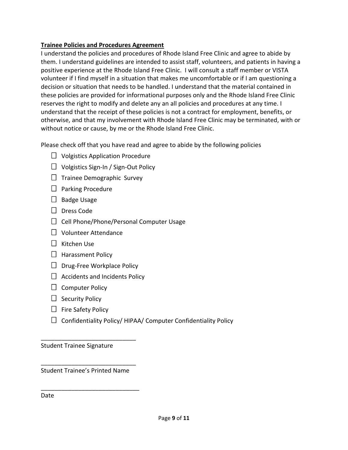## **Trainee Policies and Procedures Agreement**

I understand the policies and procedures of Rhode Island Free Clinic and agree to abide by them. I understand guidelines are intended to assist staff, volunteers, and patients in having a positive experience at the Rhode Island Free Clinic. I will consult a staff member or VISTA volunteer if I find myself in a situation that makes me uncomfortable or if I am questioning a decision or situation that needs to be handled. I understand that the material contained in these policies are provided for informational purposes only and the Rhode Island Free Clinic reserves the right to modify and delete any an all policies and procedures at any time. I understand that the receipt of these policies is not a contract for employment, benefits, or otherwise, and that my involvement with Rhode Island Free Clinic may be terminated, with or without notice or cause, by me or the Rhode Island Free Clinic.

Please check off that you have read and agree to abide by the following policies

- $\Box$  Volgistics Application Procedure
- $\Box$  Volgistics Sign-In / Sign-Out Policy
- $\Box$  Trainee Demographic Survey
- $\Box$  Parking Procedure
- $\Box$  Badge Usage
- D Dress Code
- $\Box$  Cell Phone/Phone/Personal Computer Usage
- $\Box$  Volunteer Attendance
- $\Box$  Kitchen Use
- $\Box$  Harassment Policy
- $\Box$  Drug-Free Workplace Policy
- $\Box$  Accidents and Incidents Policy
- $\Box$  Computer Policy
- $\Box$  Security Policy
- $\Box$  Fire Safety Policy
- $\Box$  Confidentiality Policy/ HIPAA/ Computer Confidentiality Policy

Student Trainee Signature

\_\_\_\_\_\_\_\_\_\_\_\_\_\_\_\_\_\_\_\_\_\_\_\_\_\_\_\_ Student Trainee's Printed Name

\_\_\_\_\_\_\_\_\_\_\_\_\_\_\_\_\_\_\_\_\_\_\_\_\_\_\_\_\_

\_\_\_\_\_\_\_\_\_\_\_\_\_\_\_\_\_\_\_\_\_\_\_\_\_\_\_\_

Date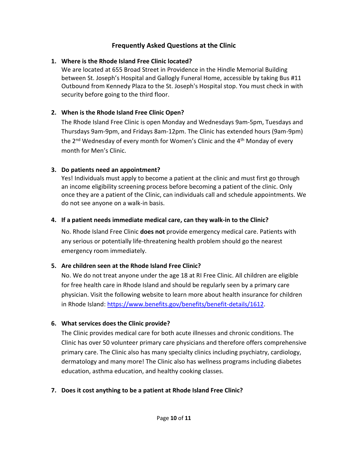## **Frequently Asked Questions at the Clinic**

## **1. Where is the Rhode Island Free Clinic located?**

We are located at 655 Broad Street in Providence in the Hindle Memorial Building between St. Joseph's Hospital and Gallogly Funeral Home, accessible by taking Bus #11 Outbound from Kennedy Plaza to the St. Joseph's Hospital stop. You must check in with security before going to the third floor.

## **2. When is the Rhode Island Free Clinic Open?**

The Rhode Island Free Clinic is open Monday and Wednesdays 9am-5pm, Tuesdays and Thursdays 9am-9pm, and Fridays 8am-12pm. The Clinic has extended hours (9am-9pm) the 2<sup>nd</sup> Wednesday of every month for Women's Clinic and the 4<sup>th</sup> Monday of every month for Men's Clinic.

## **3. Do patients need an appointment?**

Yes! Individuals must apply to become a patient at the clinic and must first go through an income eligibility screening process before becoming a patient of the clinic. Only once they are a patient of the Clinic, can individuals call and schedule appointments. We do not see anyone on a walk-in basis.

## **4. If a patient needs immediate medical care, can they walk-in to the Clinic?**

No. Rhode Island Free Clinic **does not** provide emergency medical care. Patients with any serious or potentially life-threatening health problem should go the nearest emergency room immediately.

## **5. Are children seen at the Rhode Island Free Clinic?**

No. We do not treat anyone under the age 18 at RI Free Clinic. All children are eligible for free health care in Rhode Island and should be regularly seen by a primary care physician. Visit the following website to learn more about health insurance for children in Rhode Island[: https://www.benefits.gov/benefits/benefit-details/1612.](https://www.benefits.gov/benefits/benefit-details/1612)

## **6. What services does the Clinic provide?**

The Clinic provides medical care for both acute illnesses and chronic conditions. The Clinic has over 50 volunteer primary care physicians and therefore offers comprehensive primary care. The Clinic also has many specialty clinics including psychiatry, cardiology, dermatology and many more! The Clinic also has wellness programs including diabetes education, asthma education, and healthy cooking classes.

## **7. Does it cost anything to be a patient at Rhode Island Free Clinic?**